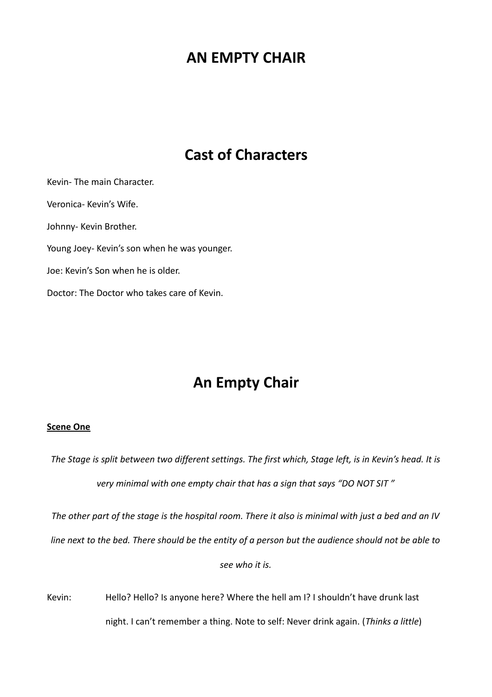# **AN EMPTY CHAIR**

# **Cast of Characters**

Kevin- The main Character. Veronica- Kevin's Wife. Johnny- Kevin Brother. Young Joey- Kevin's son when he was younger. Joe: Kevin's Son when he is older. Doctor: The Doctor who takes care of Kevin.

# **An Empty Chair**

# **Scene One**

*The Stage is split between two different settings. The first which, Stage left, is in Kevin's head. It is very minimal with one empty chair that has a sign that says "DO NOT SIT "*

*The other part of the stage is the hospital room. There it also is minimal with just a bed and an IV*

*line next to the bed. There should be the entity of a person but the audience should not be able to*

*see who it is.*

Kevin: Hello? Hello? Is anyone here? Where the hell am I? I shouldn't have drunk last night. I can't remember a thing. Note to self: Never drink again. (*Thinks a little*)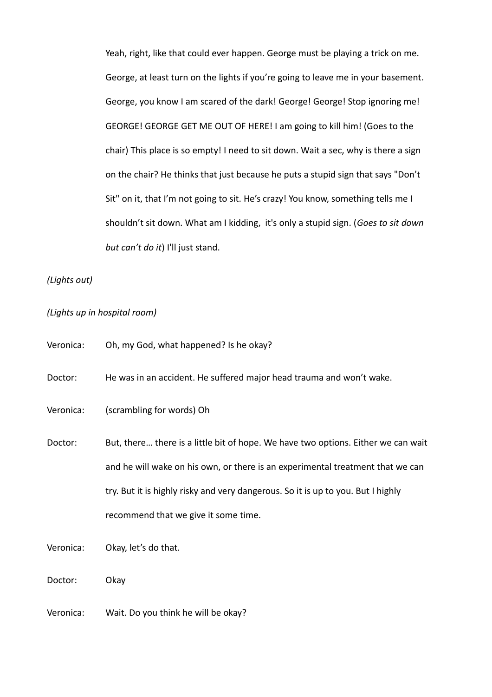Yeah, right, like that could ever happen. George must be playing a trick on me. George, at least turn on the lights if you're going to leave me in your basement. George, you know I am scared of the dark! George! George! Stop ignoring me! GEORGE! GEORGE GET ME OUT OF HERE! I am going to kill him! (Goes to the chair) This place is so empty! I need to sit down. Wait a sec, why is there a sign on the chair? He thinks that just because he puts a stupid sign that says "Don't Sit" on it, that I'm not going to sit. He's crazy! You know, something tells me I shouldn't sit down. What am I kidding, it's only a stupid sign. (*Goes to sit down but can't do it*) I'll just stand.

*(Lights out)*

# *(Lights up in hospital room)*

| Veronica: | Oh, my God, what happened? Is he okay?                                            |
|-----------|-----------------------------------------------------------------------------------|
| Doctor:   | He was in an accident. He suffered major head trauma and won't wake.              |
| Veronica: | (scrambling for words) Oh                                                         |
| Doctor:   | But, there there is a little bit of hope. We have two options. Either we can wait |
|           | and he will wake on his own, or there is an experimental treatment that we can    |
|           | try. But it is highly risky and very dangerous. So it is up to you. But I highly  |
|           | recommend that we give it some time.                                              |
| Veronica: | Okay, let's do that.                                                              |
| Doctor:   | Okay                                                                              |

Veronica: Wait. Do you think he will be okay?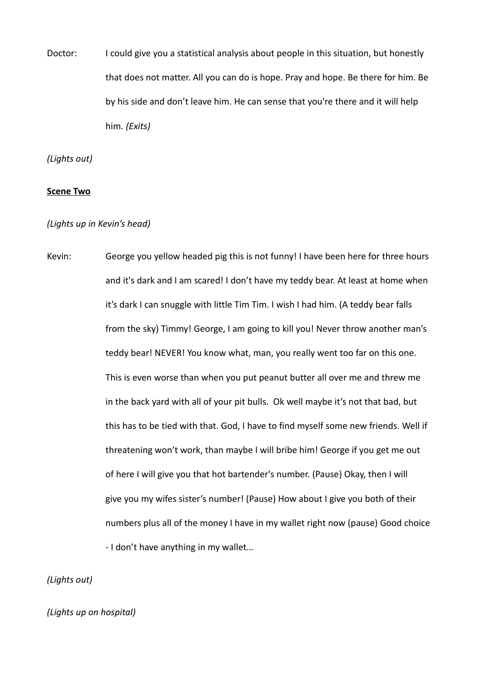Doctor: I could give you a statistical analysis about people in this situation, but honestly that does not matter. All you can do is hope. Pray and hope. Be there for him. Be by his side and don't leave him. He can sense that you're there and it will help him*. (Exits)*

*(Lights out)*

#### **Scene Two**

*(Lights up in Kevin's head)*

Kevin: George you yellow headed pig this is not funny! I have been here for three hours and it's dark and I am scared! I don't have my teddy bear. At least at home when it's dark I can snuggle with little Tim Tim. I wish I had him. (A teddy bear falls from the sky) Timmy! George, I am going to kill you! Never throw another man's teddy bear! NEVER! You know what, man, you really went too far on this one. This is even worse than when you put peanut butter all over me and threw me in the back yard with all of your pit bulls. Ok well maybe it's not that bad, but this has to be tied with that. God, I have to find myself some new friends. Well if threatening won't work, than maybe I will bribe him! George if you get me out of here I will give you that hot bartender's number. (Pause) Okay, then I will give you my wifes sister's number! (Pause) How about I give you both of their numbers plus all of the money I have in my wallet right now (pause) Good choice - I don't have anything in my wallet…

*(Lights out)*

*(Lights up on hospital)*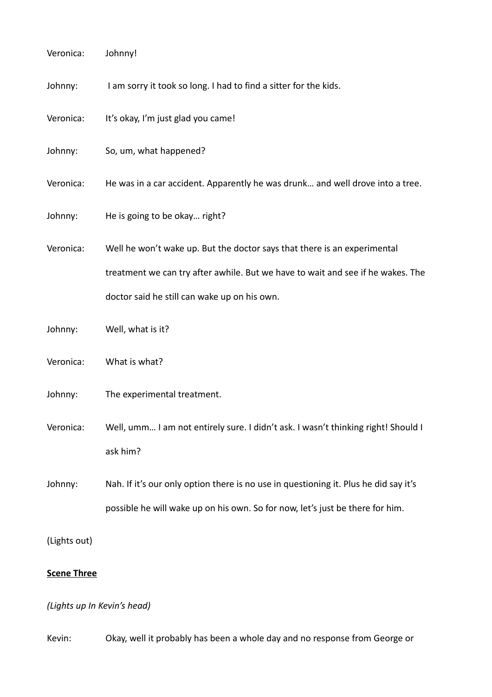| Veronica:          | Johnny!                                                                              |
|--------------------|--------------------------------------------------------------------------------------|
| Johnny:            | I am sorry it took so long. I had to find a sitter for the kids.                     |
| Veronica:          | It's okay, I'm just glad you came!                                                   |
| Johnny:            | So, um, what happened?                                                               |
| Veronica:          | He was in a car accident. Apparently he was drunk and well drove into a tree.        |
| Johnny:            | He is going to be okay right?                                                        |
| Veronica:          | Well he won't wake up. But the doctor says that there is an experimental             |
|                    | treatment we can try after awhile. But we have to wait and see if he wakes. The      |
|                    | doctor said he still can wake up on his own.                                         |
| Johnny:            | Well, what is it?                                                                    |
| Veronica:          | What is what?                                                                        |
| Johnny:            | The experimental treatment.                                                          |
| Veronica:          | Well, umm I am not entirely sure. I didn't ask. I wasn't thinking right! Should I    |
|                    | ask him?                                                                             |
| Johnny:            | Nah. If it's our only option there is no use in questioning it. Plus he did say it's |
|                    | possible he will wake up on his own. So for now, let's just be there for him.        |
| (Lights out)       |                                                                                      |
| <b>Scene Three</b> |                                                                                      |

*(Lights up In Kevin's head)*

Kevin: Okay, well it probably has been a whole day and no response from George or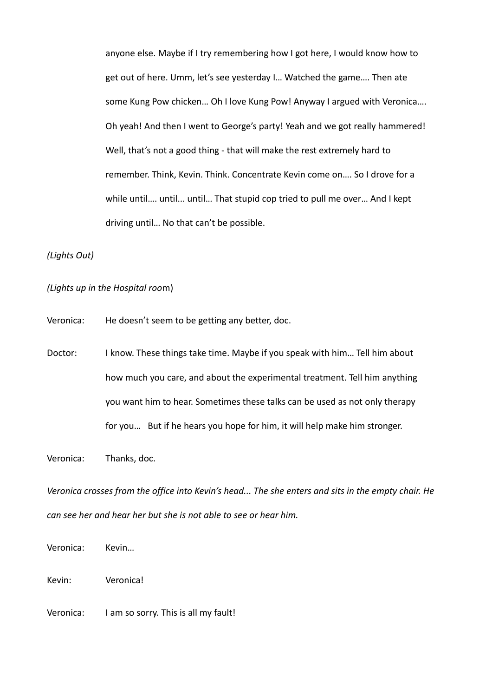anyone else. Maybe if I try remembering how I got here, I would know how to get out of here. Umm, let's see yesterday I… Watched the game…. Then ate some Kung Pow chicken… Oh I love Kung Pow! Anyway I argued with Veronica…. Oh yeah! And then I went to George's party! Yeah and we got really hammered! Well, that's not a good thing - that will make the rest extremely hard to remember. Think, Kevin. Think. Concentrate Kevin come on…. So I drove for a while until…. until... until… That stupid cop tried to pull me over… And I kept driving until… No that can't be possible.

*(Lights Out)*

*(Lights up in the Hospital roo*m)

Veronica: He doesn't seem to be getting any better, doc.

Doctor: I know. These things take time. Maybe if you speak with him... Tell him about how much you care, and about the experimental treatment. Tell him anything you want him to hear. Sometimes these talks can be used as not only therapy for you… But if he hears you hope for him, it will help make him stronger.

Veronica: Thanks, doc.

*Veronica crosses from the office into Kevin's head... The she enters and sits in the empty chair. He can see her and hear her but she is not able to see or hear him.*

Veronica: Kevin…

Kevin: Veronica!

Veronica: I am so sorry. This is all my fault!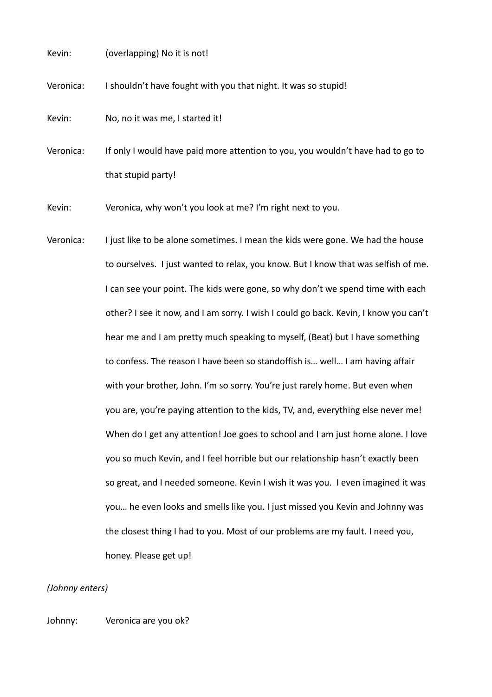Kevin: (overlapping) No it is not!

Veronica: I shouldn't have fought with you that night. It was so stupid!

Kevin: No, no it was me, I started it!

Veronica: If only I would have paid more attention to you, you wouldn't have had to go to that stupid party!

Kevin: Veronica, why won't you look at me? I'm right next to you.

Veronica: I just like to be alone sometimes. I mean the kids were gone. We had the house to ourselves. I just wanted to relax, you know. But I know that was selfish of me. I can see your point. The kids were gone, so why don't we spend time with each other? I see it now, and I am sorry. I wish I could go back. Kevin, I know you can't hear me and I am pretty much speaking to myself, (Beat) but I have something to confess. The reason I have been so standoffish is… well… I am having affair with your brother, John. I'm so sorry. You're just rarely home. But even when you are, you're paying attention to the kids, TV, and, everything else never me! When do I get any attention! Joe goes to school and I am just home alone. I love you so much Kevin, and I feel horrible but our relationship hasn't exactly been so great, and I needed someone. Kevin I wish it was you. I even imagined it was you… he even looks and smells like you. I just missed you Kevin and Johnny was the closest thing I had to you. Most of our problems are my fault. I need you, honey. Please get up!

# *(Johnny enters)*

Johnny: Veronica are you ok?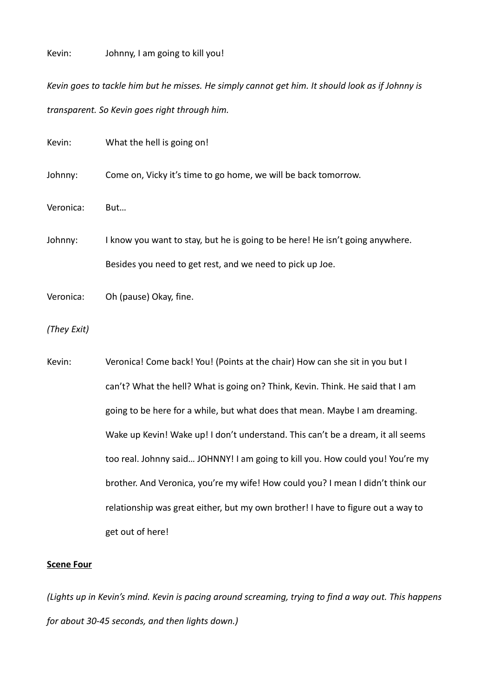# Kevin: Johnny, I am going to kill you!

*Kevin goes to tackle him but he misses. He simply cannot get him. It should look as if Johnny is transparent. So Kevin goes right through him.*

| Kevin:      | What the hell is going on!                                                       |
|-------------|----------------------------------------------------------------------------------|
| Johnny:     | Come on, Vicky it's time to go home, we will be back tomorrow.                   |
| Veronica:   | But                                                                              |
| Johnny:     | I know you want to stay, but he is going to be here! He isn't going anywhere.    |
|             | Besides you need to get rest, and we need to pick up Joe.                        |
| Veronica:   | Oh (pause) Okay, fine.                                                           |
| (They Exit) |                                                                                  |
| Kevin:      | Veronica! Come back! You! (Points at the chair) How can she sit in you but I     |
|             | can't? What the hell? What is going on? Think, Kevin. Think. He said that I am   |
|             | going to be here for a while, but what does that mean. Maybe I am dreaming.      |
|             | Wake up Kevin! Wake up! I don't understand. This can't be a dream, it all seems  |
|             | too real. Johnny said JOHNNY! I am going to kill you. How could you! You're my   |
|             | brother. And Veronica, you're my wife! How could you? I mean I didn't think our  |
|             | relationship was great either, but my own brother! I have to figure out a way to |
|             | get out of here!                                                                 |

# **Scene Four**

*(Lights up in Kevin's mind. Kevin is pacing around screaming, trying to find a way out. This happens for about 30-45 seconds, and then lights down.)*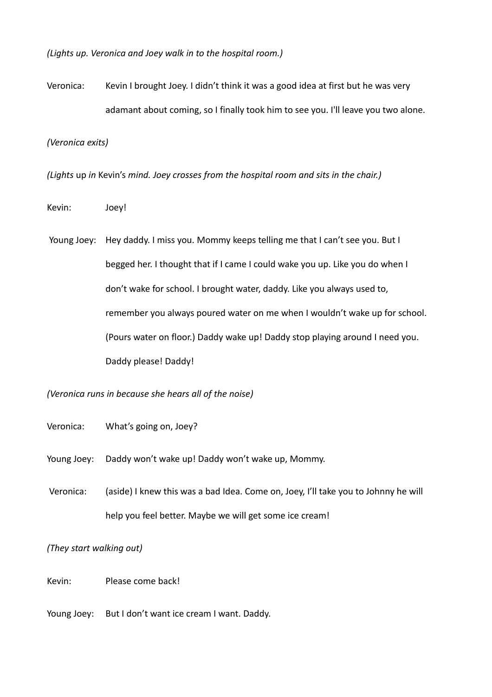*(Lights up. Veronica and Joey walk in to the hospital room.)*

Veronica: Kevin I brought Joey. I didn't think it was a good idea at first but he was very adamant about coming, so I finally took him to see you. I'll leave you two alone.

*(Veronica exits)*

*(Lights* up *in* Kevin's *mind. Joey crosses from the hospital room and sits in the chair.)*

Kevin: Joey!

 Young Joey: Hey daddy. I miss you. Mommy keeps telling me that I can't see you. But I begged her. I thought that if I came I could wake you up. Like you do when I don't wake for school. I brought water, daddy. Like you always used to, remember you always poured water on me when I wouldn't wake up for school. (Pours water on floor.) Daddy wake up! Daddy stop playing around I need you. Daddy please! Daddy!

*(Veronica runs in because she hears all of the noise)*

Veronica: What's going on, Joey?

Young Joey: Daddy won't wake up! Daddy won't wake up, Mommy.

 Veronica: (aside) I knew this was a bad Idea. Come on, Joey, I'll take you to Johnny he will help you feel better. Maybe we will get some ice cream!

*(They start walking out)*

Kevin: Please come back!

Young Joey: But I don't want ice cream I want. Daddy.